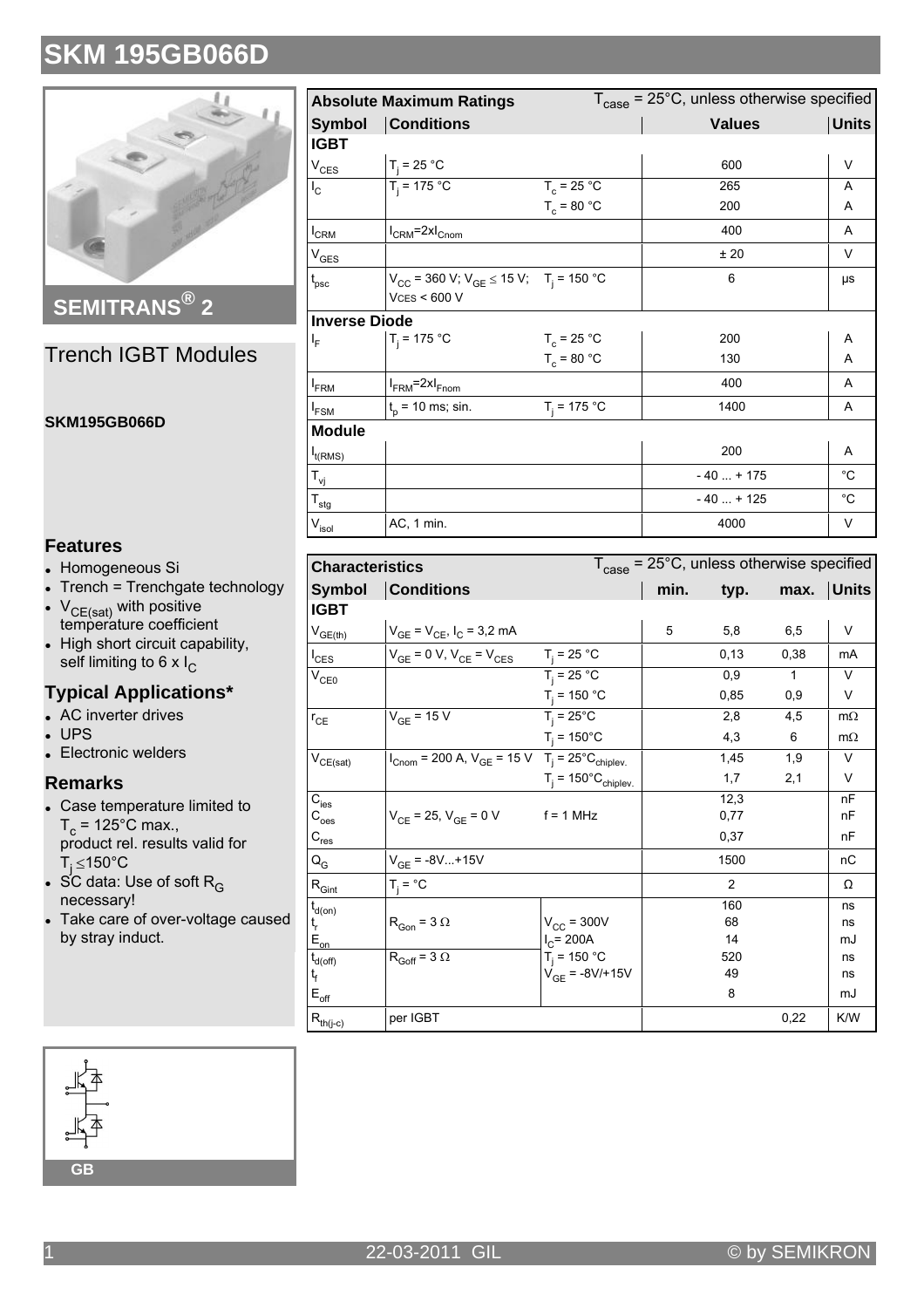

**SEMITRANS®2** 

### **Trench IGBT Modules**

#### **SKM195GB066D**

### **Features**

- Homogeneous Si
- Trench = Trenchgate technology
- $V_{CF(sat)}$  with positive temperature coefficient
- High short circuit capability, self limiting to 6 x  $I_C$

### **Typical Applications\***

- AC inverter drives
- **UPS**
- Electronic welders

#### **Remarks**

- Case temperature limited to  $T_c = 125^{\circ}$ C max., product rel. results valid for  $T_i \le 150^{\circ}$ C
- SC data: Use of soft R<sub>G</sub> necessary!
- Take care of over-voltage caused by stray induct.

| $T_{\text{case}}$ = 25°C, unless otherwise specified<br><b>Absolute Maximum Ratings</b> |                                                                                |                |               |              |  |  |  |
|-----------------------------------------------------------------------------------------|--------------------------------------------------------------------------------|----------------|---------------|--------------|--|--|--|
| <b>Symbol</b>                                                                           | <b>Conditions</b>                                                              |                | <b>Values</b> | <b>Units</b> |  |  |  |
| <b>IGBT</b>                                                                             |                                                                                |                |               |              |  |  |  |
| $V_{CES}$                                                                               | $T_i = 25 °C$                                                                  |                | 600           | V            |  |  |  |
| $I_{\rm C}$                                                                             | $T_i = 175 °C$                                                                 | $T_c = 25 °C$  | 265           | A            |  |  |  |
|                                                                                         |                                                                                | $T_c = 80 °C$  | 200           | A            |  |  |  |
| $I_{CRM}$                                                                               | $I_{CRM}$ =2x $I_{Cnom}$                                                       |                | 400           | A            |  |  |  |
| V <sub>GES</sub>                                                                        |                                                                                |                | ±20           | $\vee$       |  |  |  |
| $t_{\rm psc}$                                                                           | $V_{CC}$ = 360 V; $V_{GE}$ $\leq$ 15 V; T <sub>i</sub> = 150 °C<br>VCS < 600 V |                | 6             | μs           |  |  |  |
| <b>Inverse Diode</b>                                                                    |                                                                                |                |               |              |  |  |  |
| I <sub>F</sub>                                                                          | $T_i = 175 °C$                                                                 | $T_c = 25 °C$  | 200           | Α            |  |  |  |
|                                                                                         |                                                                                | $T_c = 80 °C$  | 130           | A            |  |  |  |
| <b>I</b> <sub>FRM</sub>                                                                 | $I_{FRM}$ =2x $I_{Fnom}$                                                       |                | 400           | A            |  |  |  |
| I <sub>FSM</sub>                                                                        | $t_{p}$ = 10 ms; sin.                                                          | $T_i = 175 °C$ | 1400          | A            |  |  |  |
| <b>Module</b>                                                                           |                                                                                |                |               |              |  |  |  |
| $I_{t(RMS)}$                                                                            |                                                                                |                | 200           | Α            |  |  |  |
| T <sub>vj</sub>                                                                         |                                                                                |                | $-40 + 175$   | $^{\circ}C$  |  |  |  |
| $T_{\text{stg}}$                                                                        |                                                                                |                | $-40+125$     | $^{\circ}C$  |  |  |  |
| $V_{\sf isol}$                                                                          | AC, 1 min.                                                                     |                | 4000          | V            |  |  |  |

| <b>Characteristics</b>                 |                                                                                             |                                       | $T_{\text{case}}$ = 25°C, unless otherwise specified |                |              |           |
|----------------------------------------|---------------------------------------------------------------------------------------------|---------------------------------------|------------------------------------------------------|----------------|--------------|-----------|
| <b>Symbol</b>                          | <b>Conditions</b>                                                                           |                                       | min.                                                 | typ.           | max.         | ∣Units    |
| <b>IGBT</b>                            |                                                                                             |                                       |                                                      |                |              |           |
| $V_{GE(th)}$                           | $V_{GE} = V_{CE}$ , $I_C = 3.2$ mA                                                          |                                       | 5                                                    | 5,8            | 6,5          | V         |
| $I_{\text{CES}}$                       | $V_{GE}$ = 0 V, $V_{CE}$ = $V_{CES}$                                                        | $T_i = 25 °C$                         |                                                      | 0, 13          | 0,38         | mA        |
| $V_{CE0}$                              |                                                                                             | $T_i = 25 °C$                         |                                                      | 0.9            | $\mathbf{1}$ | $\vee$    |
|                                        |                                                                                             | $T_j = 150 °C$                        |                                                      | 0,85           | 0,9          | V         |
| $r_{CE}$                               | $V_{GF}$ = 15 V                                                                             | $T_i = 25^{\circ}C$                   |                                                      | 2,8            | 4,5          | $m\Omega$ |
|                                        |                                                                                             | $T_i = 150^{\circ}C$                  |                                                      | 4,3            | 6            | $m\Omega$ |
| $\rm V_{CE(sat)}$                      | $I_{Cnom}$ = 200 A, $V_{GE}$ = 15 V T <sub>j</sub> = 25 <sup>°</sup> C <sub>chiplev</sub> . |                                       |                                                      | 1,45           | 1,9          | $\vee$    |
|                                        |                                                                                             | $T_i = 150^{\circ}C_{\text{chiplev}}$ |                                                      | 1,7            | 2,1          | V         |
| $\mathbf{\bar{C}_{\mathrm{ies}}}$      |                                                                                             |                                       |                                                      | 12,3           |              | nF        |
| $\mathsf{C}_{\text{oes}}$              | $V_{CF}$ = 25, $V_{GF}$ = 0 V                                                               | $f = 1$ MHz                           |                                                      | 0,77           |              | nF        |
| $C_{res}$                              |                                                                                             |                                       |                                                      | 0,37           |              | nF        |
| $Q_G$                                  | $V_{GF}$ = -8V+15V                                                                          |                                       |                                                      | 1500           |              | nC        |
| $\mathsf{R}_{\mathsf{Gint}}$           | $T_i = \text{°C}$                                                                           |                                       |                                                      | $\overline{2}$ |              | Ω         |
| $t_{d(on)}$                            |                                                                                             |                                       |                                                      | 160            |              | ns        |
| $t_{r}$                                | $R_{Gon}$ = 3 $\Omega$                                                                      | $V_{CC}$ = 300V                       |                                                      | 68             |              | ns        |
| $E_{on}$                               |                                                                                             | $I_C = 200A$                          |                                                      | 14             |              | mJ        |
| $t_{d(\text{off})}$                    | $R_{Goff}$ = 3 $\Omega$                                                                     | $T_i = 150 °C$                        |                                                      | 520            |              | ns        |
| t <sub>f</sub>                         |                                                                                             | $V_{GE} = -8V/+15V$                   |                                                      | 49             |              | ns        |
| $\mathsf{E}_{\mathsf{off}}$            |                                                                                             |                                       |                                                      | 8              |              | mJ        |
| $\mathsf{R}_{\mathsf{th}(j\text{-}c)}$ | per IGBT                                                                                    |                                       |                                                      |                | 0,22         | K/W       |

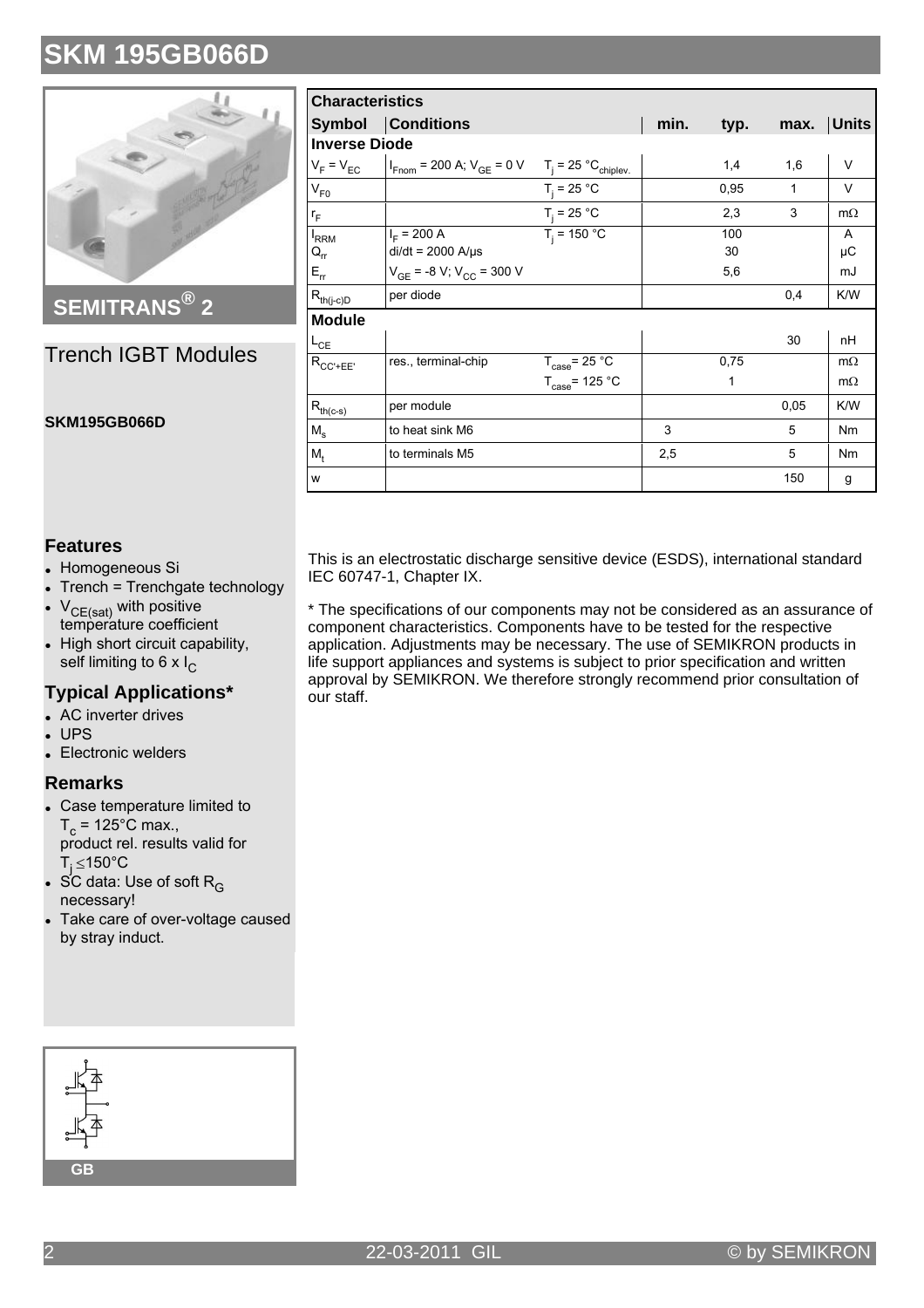

## **SEMITRANS® 2**

### Trench IGBT Modules

#### **SKM195GB066D**

| <b>Characteristics</b>                  |                                                                                              |                            |      |           |              |              |
|-----------------------------------------|----------------------------------------------------------------------------------------------|----------------------------|------|-----------|--------------|--------------|
|                                         | Symbol Conditions                                                                            |                            | min. | typ.      | max.         | <b>Units</b> |
|                                         | <b>Inverse Diode</b>                                                                         |                            |      |           |              |              |
| $V_F = V_{EC}$                          | $I_{\text{Fnom}}$ = 200 A; $V_{\text{GE}}$ = 0 V T <sub>j</sub> = 25 °C <sub>chiplev</sub> . |                            |      | 1,4       | 1,6          | V            |
| $V_{F0}$                                |                                                                                              | $T_i = 25 °C$              |      | 0,95      | $\mathbf{1}$ | $\vee$       |
| $r_F$                                   |                                                                                              | $T_i = 25 °C$              |      | 2,3       | 3            | $m\Omega$    |
| $I_{RRM}$<br>$\mathsf{Q}_{\mathsf{rr}}$ | $I_F$ = 200 A<br>$di/dt = 2000$ A/ $\mu$ s                                                   | $T_i = 150 °C$             |      | 100<br>30 |              | A<br>μC      |
| $E_{rr}$                                | $V_{GE}$ = -8 V; V <sub>CC</sub> = 300 V                                                     |                            |      | 5,6       |              | mJ           |
| $R_{th(j-c)D}$                          | per diode                                                                                    |                            |      |           | 0,4          | K/W          |
| <b>Module</b>                           |                                                                                              |                            |      |           |              |              |
| $L_{CE}$                                |                                                                                              |                            |      |           | 30           | nH           |
| $R_{CC'+EE'}$                           | res., terminal-chip                                                                          | $T_{\text{case}}$ = 25 °C  |      | 0,75      |              | $m\Omega$    |
|                                         |                                                                                              | $T_{\text{case}}$ = 125 °C |      | 1         |              | $m\Omega$    |
| $R_{th(c-s)}$                           | per module                                                                                   |                            |      |           | 0,05         | K/W          |
| $M_s$                                   | to heat sink M6                                                                              |                            | 3    |           | 5            | Nm           |
| $M_{t}$                                 | to terminals M5                                                                              |                            | 2,5  |           | 5            | <b>Nm</b>    |
| w                                       |                                                                                              |                            |      |           | 150          | g            |

#### **Features**

- Homogeneous Si
- Trench = Trenchgate technology
- $V_{CF(sat)}$  with positive temperature coefficient
- High short circuit capability, self limiting to 6 x I<sub>C</sub>

### **Typical Applications\***

- $\bullet$  AC inverter drives
- $IIPS$
- Electronic welders

#### **Remarks**

- Case temperature limited to  $T_c$  = 125°C max., product rel. results valid for T<sub>j</sub> ≤150°C
- SC data: Use of soft  $R_G$ necessary!
- Take care of over-voltage caused by stray induct.

This is an electrostatic discharge sensitive device (ESDS), international standard IEC 60747-1, Chapter IX.

\* The specifications of our components may not be considered as an assurance of component characteristics. Components have to be tested for the respective application. Adjustments may be necessary. The use of SEMIKRON products in life support appliances and systems is subject to prior specification and written approval by SEMIKRON. We therefore strongly recommend prior consultation of our staff.

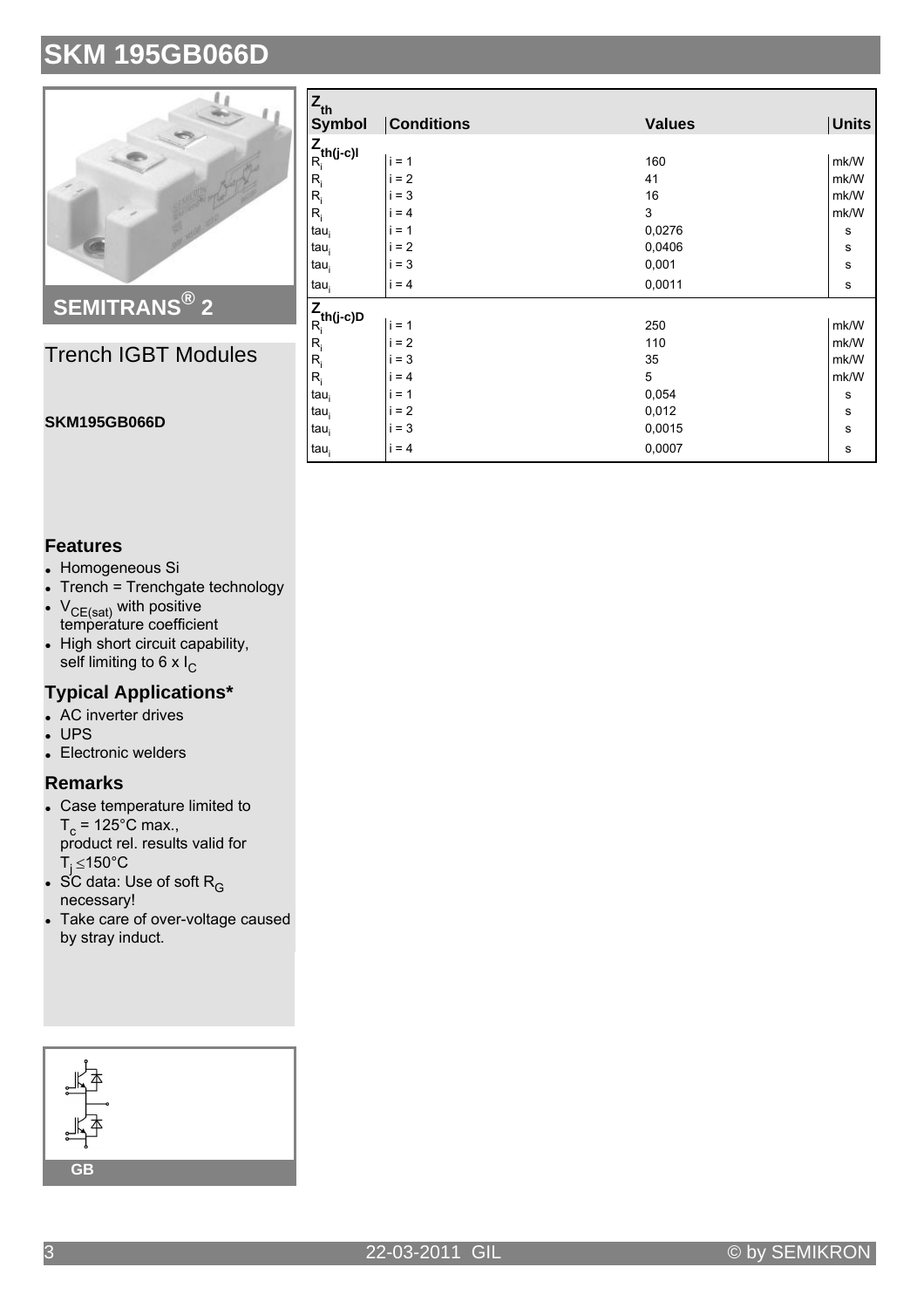

Trench IGBT Modules

| $Z_{\text{th}}$<br><b>Symbol</b> | <b>Conditions</b> | <b>Values</b> | <b>Units</b> |
|----------------------------------|-------------------|---------------|--------------|
| $\frac{Z}{R_i}$ th(j-c)l         |                   |               |              |
|                                  | $i = 1$           | 160           | mk/W         |
| $R_i$                            | $= 2$             | 41            | mk/W         |
| $R_i$                            | $i = 3$           | 16            | mk/W         |
| $R_i$                            | $i = 4$           | 3             | mk/W         |
| tau <sub>i</sub>                 | $i = 1$           | 0,0276        | s            |
| tau <sub>i</sub>                 | $i = 2$           | 0,0406        | s            |
| $tau_i$                          | $i = 3$           | 0,001         | $\mathbf s$  |
| tau <sub>i</sub>                 | $i = 4$           | 0,0011        | s            |
|                                  |                   |               |              |
| $\frac{Z}{R_i}$ th(j-c)D         | $i = 1$           | 250           | mk/W         |
| $R_i$                            | $i = 2$           | 110           | mk/W         |
| $R_i$                            | $i = 3$           | 35            | mk/W         |
| $R_i$                            | $i = 4$           | 5             | mk/W         |
| $tau_i$                          | $i = 1$           | 0,054         | s            |
| $tau_i$                          | $= 2$<br>i        | 0,012         | $\mathbf s$  |
| $tau_i$                          | $i = 3$           | 0,0015        | $\mathbf s$  |
| tau <sub>i</sub>                 | $i = 4$           | 0,0007        | s            |

### **Features**

• Homogeneous Si

**SKM195GB066D**

- Trench = Trenchgate technology
- $V_{CF(sat)}$  with positive temperature coefficient
- . High short circuit capability, self limiting to 6 x I<sub>C</sub>

### **Typical Applications\***

- $\bullet$  AC inverter drives
- UP<sub>S</sub>
- Electronic welders

### **Remarks**

- Case temperature limited to  $T_c$  = 125°C max., product rel. results valid for T<sub>j</sub> ≤150°C
- $\bullet$  SC data: Use of soft R<sub>G</sub> necessary!
- Take care of over-voltage caused by stray induct.



#### 3 22-03-2011 GIL © by SEMIKRON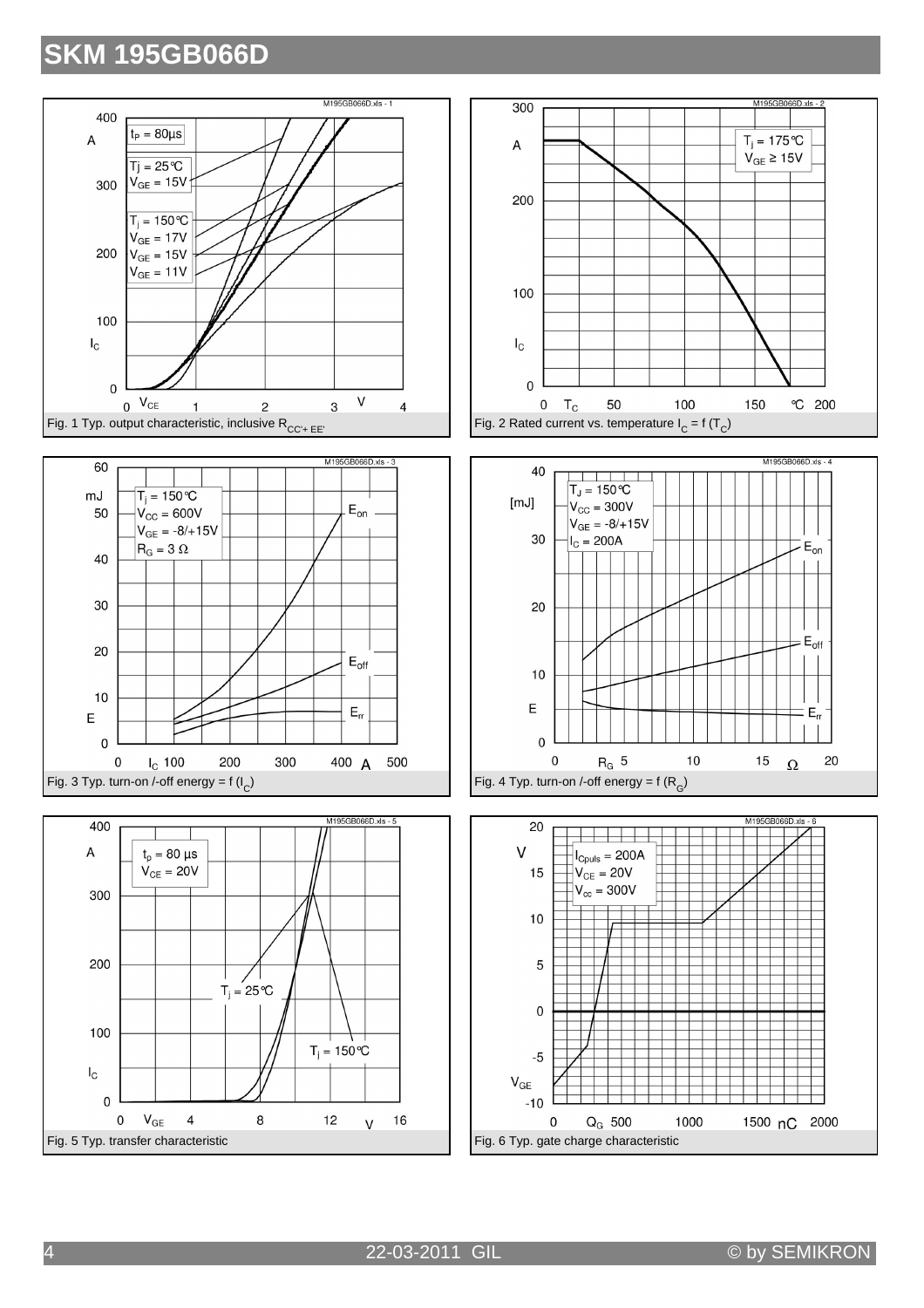









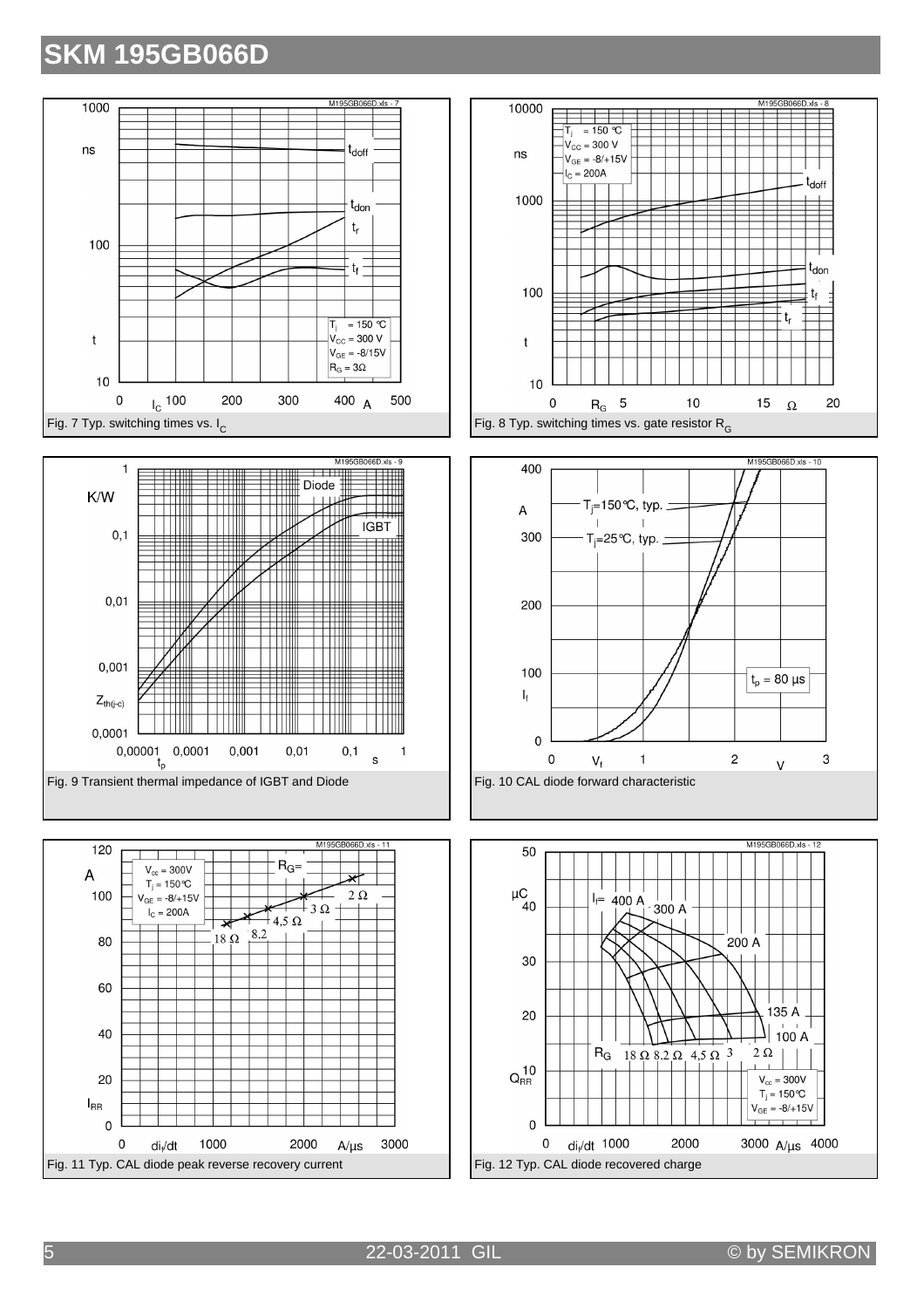







5 22-03-2011 GIL © by SEMIKRON

3000

 $A/\mu s$ 

60

40

20

 $\pmb{0}$ 

 $di<sub>f</sub>/dt$ 

1000

2000

 $I_{RR}$  $\mathbf 0$